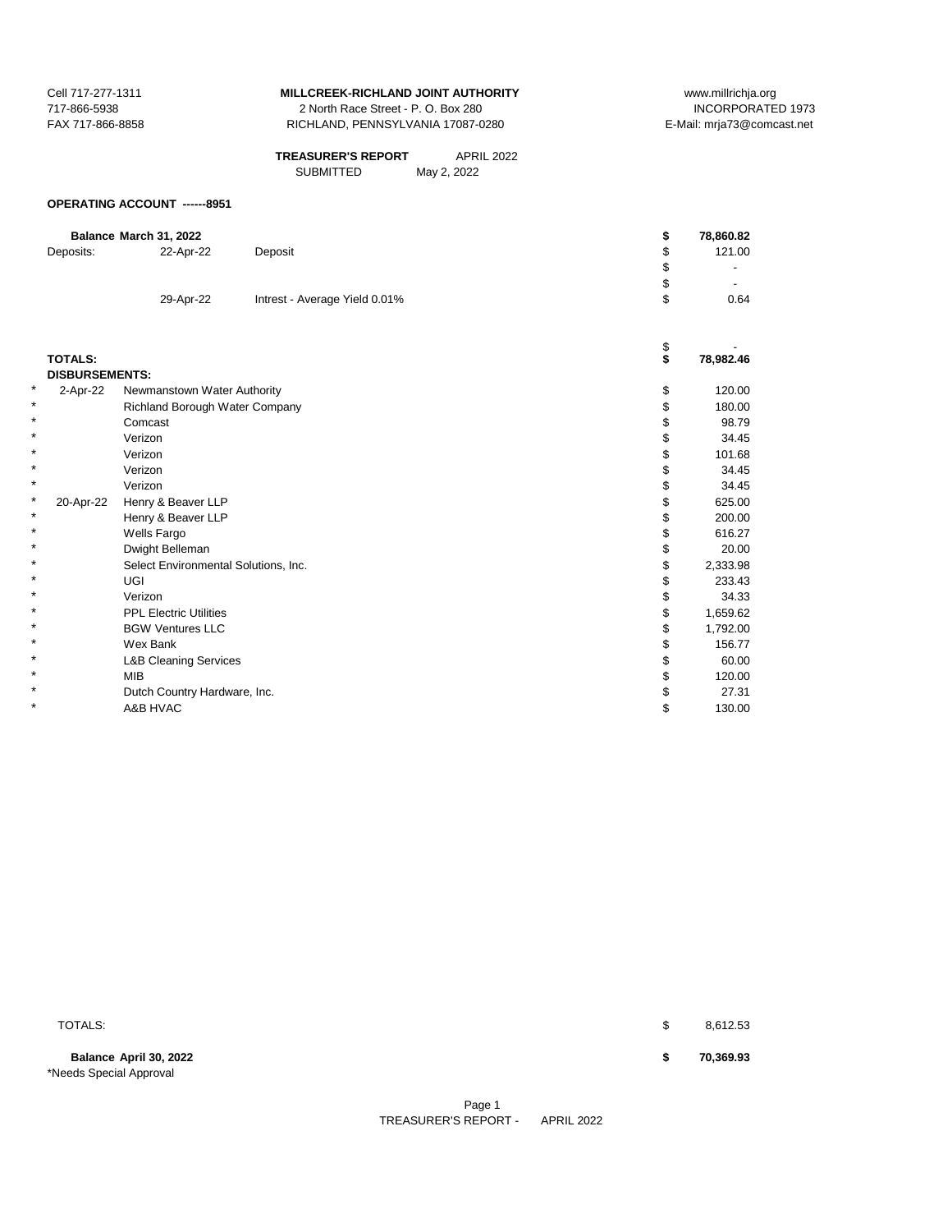| Cell 717-277-1311 | MILLCREEK-RICHLAND JOINT AUTHORITY  | wv     |
|-------------------|-------------------------------------|--------|
| 717-866-5938      | 2 North Race Street - P. O. Box 280 |        |
| FAX 717-866-8858  | RICHLAND. PENNSYLVANIA 17087-0280   | E-Mail |
|                   |                                     |        |

SUBMITTED **TREASURER'S REPORT** APRIL 2022 May 2, 2022

## **OPERATING ACCOUNT ------8951**

|                       | Balance March 31, 2022               |                               | \$<br>78,860.82 |
|-----------------------|--------------------------------------|-------------------------------|-----------------|
| Deposits:             | 22-Apr-22                            | Deposit                       | \$<br>121.00    |
|                       |                                      |                               | \$              |
|                       |                                      |                               | \$              |
|                       | 29-Apr-22                            | Intrest - Average Yield 0.01% | \$<br>0.64      |
|                       |                                      |                               |                 |
|                       |                                      |                               |                 |
| <b>TOTALS:</b>        |                                      |                               | \$<br>78,982.46 |
| <b>DISBURSEMENTS:</b> |                                      |                               |                 |
| ¥<br>2-Apr-22         | Newmanstown Water Authority          |                               | \$<br>120.00    |
| $\star$               | Richland Borough Water Company       |                               | \$<br>180.00    |
| *                     | Comcast                              |                               | \$<br>98.79     |
| $\star$               | Verizon                              |                               | \$<br>34.45     |
|                       | Verizon                              |                               | \$<br>101.68    |
|                       | Verizon                              |                               | \$<br>34.45     |
| ¥                     | Verizon                              |                               | 34.45           |
| *<br>20-Apr-22        | Henry & Beaver LLP                   |                               | \$<br>625.00    |
| *                     | Henry & Beaver LLP                   |                               | 200.00          |
| ¥                     | Wells Fargo                          |                               | \$<br>616.27    |
| $\star$               | Dwight Belleman                      |                               | \$<br>20.00     |
| ¥                     | Select Environmental Solutions, Inc. |                               | \$<br>2,333.98  |
| *                     | <b>UGI</b>                           |                               | 233.43          |
| $\star$               | Verizon                              |                               | 34.33           |
| *                     | <b>PPL Electric Utilities</b>        |                               | \$<br>1,659.62  |
| ×                     | <b>BGW Ventures LLC</b>              |                               | 1,792.00        |
| $\star$               | Wex Bank                             |                               | \$<br>156.77    |
| ¥                     | <b>L&amp;B Cleaning Services</b>     |                               | \$<br>60.00     |
| ¥                     | <b>MIB</b>                           |                               | 120.00          |
| $\star$               | Dutch Country Hardware, Inc.         |                               | 27.31           |
| $\star$               | A&B HVAC                             |                               | \$<br>130.00    |

**Balance April 30, 2022 \$ 70,369.93** \*Needs Special Approval

**TOTALS:**  $\frac{1}{3}$  8,612.53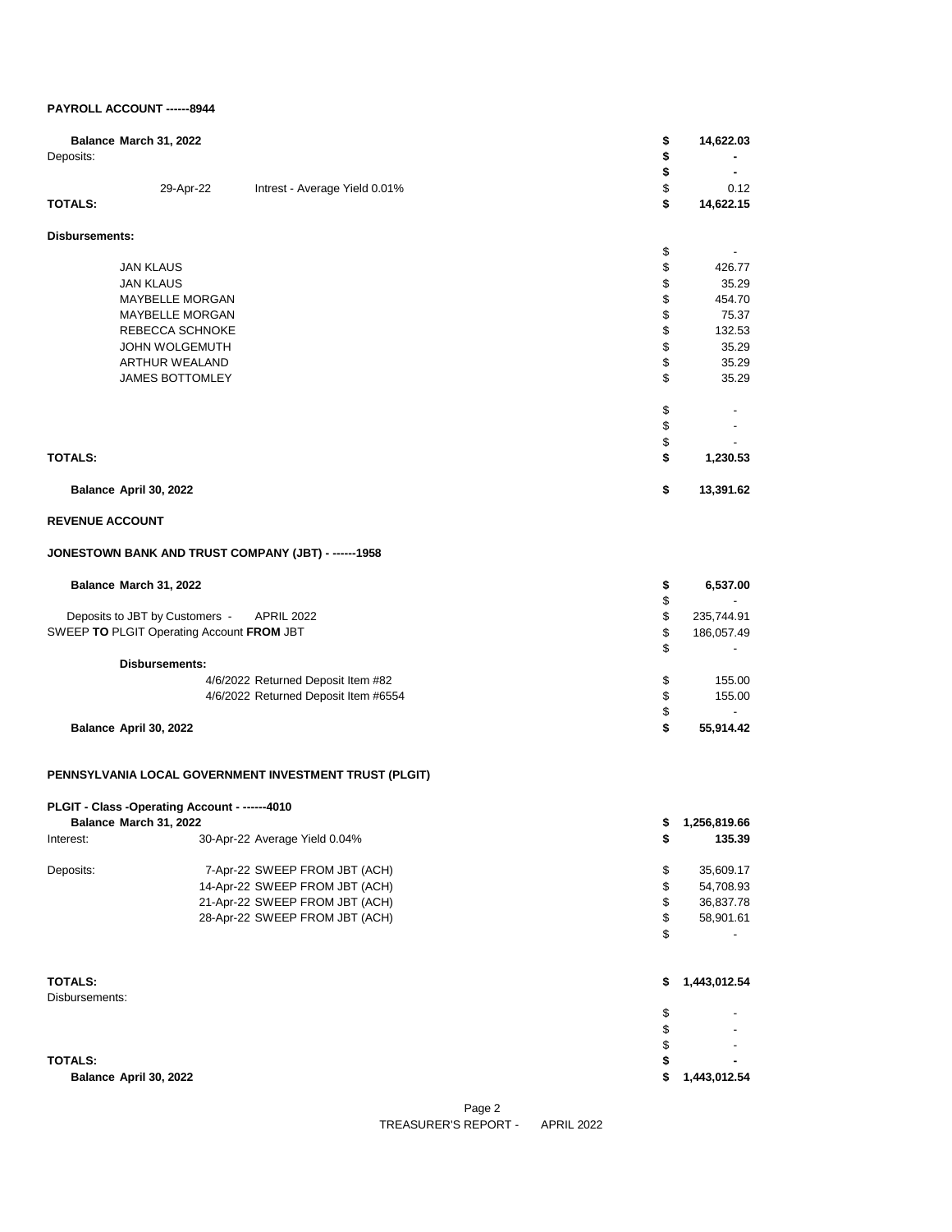## **PAYROLL ACCOUNT ------8944**

| Deposits:              | Balance March 31, 2022                                                  |                                                        | \$<br>\$                                  | 14,622.03         |
|------------------------|-------------------------------------------------------------------------|--------------------------------------------------------|-------------------------------------------|-------------------|
| TOTALS:                | 29-Apr-22                                                               | Intrest - Average Yield 0.01%                          | \$<br>\$<br>\$                            | 0.12<br>14,622.15 |
| Disbursements:         |                                                                         |                                                        |                                           |                   |
|                        |                                                                         |                                                        | \$                                        |                   |
|                        | <b>JAN KLAUS</b>                                                        |                                                        | \$                                        | 426.77            |
|                        | <b>JAN KLAUS</b>                                                        |                                                        | \$                                        | 35.29             |
|                        | <b>MAYBELLE MORGAN</b>                                                  |                                                        | \$                                        | 454.70            |
|                        | MAYBELLE MORGAN                                                         |                                                        | \$                                        | 75.37             |
|                        | REBECCA SCHNOKE<br><b>JOHN WOLGEMUTH</b>                                |                                                        | \$<br>\$                                  | 132.53<br>35.29   |
|                        | ARTHUR WEALAND                                                          |                                                        | \$                                        | 35.29             |
|                        | JAMES BOTTOMLEY                                                         |                                                        | \$                                        | 35.29             |
|                        |                                                                         |                                                        | \$                                        |                   |
|                        |                                                                         |                                                        | \$                                        |                   |
| TOTALS:                |                                                                         |                                                        | \$<br>\$                                  | 1,230.53          |
|                        | Balance April 30, 2022                                                  |                                                        | \$                                        | 13,391.62         |
|                        |                                                                         |                                                        |                                           |                   |
| <b>REVENUE ACCOUNT</b> |                                                                         |                                                        |                                           |                   |
|                        |                                                                         | JONESTOWN BANK AND TRUST COMPANY (JBT) - ------1958    |                                           |                   |
|                        | Balance March 31, 2022                                                  |                                                        | \$<br>\$                                  | 6,537.00          |
|                        | Deposits to JBT by Customers -                                          | <b>APRIL 2022</b>                                      | \$                                        | 235,744.91        |
|                        | SWEEP TO PLGIT Operating Account FROM JBT                               |                                                        | \$<br>\$                                  | 186,057.49        |
|                        | Disbursements:                                                          |                                                        |                                           |                   |
|                        |                                                                         | 4/6/2022 Returned Deposit Item #82                     | \$                                        | 155.00            |
|                        |                                                                         | 4/6/2022 Returned Deposit Item #6554                   | \$                                        | 155.00            |
|                        | Balance April 30, 2022                                                  |                                                        | \$<br>\$                                  | 55,914.42         |
|                        |                                                                         |                                                        |                                           |                   |
|                        |                                                                         | PENNSYLVANIA LOCAL GOVERNMENT INVESTMENT TRUST (PLGIT) |                                           |                   |
|                        | PLGIT - Class -Operating Account - ------4010<br>Balance March 31, 2022 |                                                        |                                           | \$1,256,819.66    |
| Interest:              |                                                                         | 30-Apr-22 Average Yield 0.04%                          | \$                                        | 135.39            |
| Deposits:              |                                                                         | 7-Apr-22 SWEEP FROM JBT (ACH)                          | \$                                        | 35,609.17         |
|                        |                                                                         | 14-Apr-22 SWEEP FROM JBT (ACH)                         | \$                                        | 54,708.93         |
|                        |                                                                         | 21-Apr-22 SWEEP FROM JBT (ACH)                         | \$                                        | 36,837.78         |
|                        |                                                                         | 28-Apr-22 SWEEP FROM JBT (ACH)                         | $\, \, \raisebox{12pt}{$\scriptstyle \$}$ | 58,901.61         |
|                        |                                                                         |                                                        | \$                                        |                   |
| <b>TOTALS:</b>         |                                                                         |                                                        | \$                                        | 1,443,012.54      |
| Disbursements:         |                                                                         |                                                        |                                           |                   |
|                        |                                                                         |                                                        | \$                                        |                   |
|                        |                                                                         |                                                        | \$                                        |                   |
| <b>TOTALS:</b>         |                                                                         |                                                        | \$                                        |                   |
|                        | Balance April 30, 2022                                                  |                                                        | \$<br>\$                                  | 1,443,012.54      |
|                        |                                                                         |                                                        |                                           |                   |

Page 2 TREASURER'S REPORT - APRIL 2022